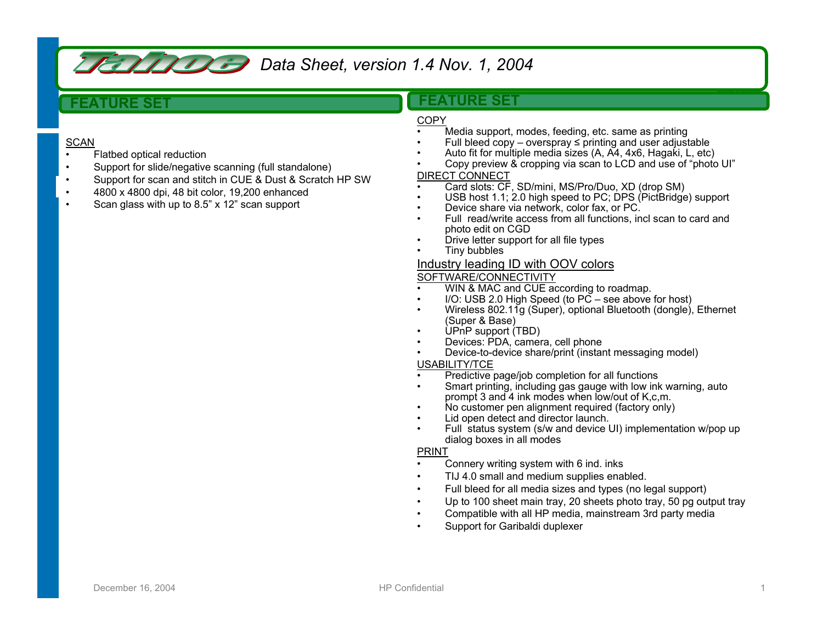

*Data Sheet, version 1.4 Nov. 1, 2004* 

# **FEATURE SET**

### **SCAN**

- •Flatbed optical reduction
- •Support for slide/negative scanning (full standalone)
- •Support for scan and stitch in CUE & Dust & Scratch HP SW
- •4800 x 4800 dpi, 48 bit color, 19,200 enhanced
- •Scan glass with up to 8.5" x 12" scan support

# **FEATURE SET**

## COPY

•

- •Media support, modes, feeding, etc. same as printing
- •Full bleed copy – overspray <sup>≤</sup> printing and user adjustable
- •Auto fit for multiple media sizes (A, A4, 4x6, Hagaki, L, etc)
- • Copy preview & cropping via scan to LCD and use of "photo UI" DIRECT CONNECT
	- Card slots: CF, SD/mini, MS/Pro/Duo, XD (drop SM)
- •USB host 1.1; 2.0 high speed to PC; DPS (PictBridge) support
- •Device share via network, color fax, or PC.
- • Full read/write access from all functions, incl scan to card and photo edit on CGD
- •Drive letter support for all file types
- •Tiny bubbles

## Industry leading ID with OOV colors

#### SOFTWARE/CONNECTIVITY

- •WIN & MAC and CUE according to roadmap.
- •I/O: USB 2.0 High Speed (to  $\overline{PC}$  – see above for host)
- • Wireless 802.11g (Super), optional Bluetooth (dongle), Ethernet (Super & Base)
- •UPnP support (TBD)
- •Devices: PDA, camera, cell phone
- •Device-to-device share/print (instant messaging model)

#### USABILITY/TCE

- •Predictive page/job completion for all functions
- • Smart printing, including gas gauge with low ink warning, auto prompt 3 and 4 ink modes when low/out of K,c,m.
- •No customer pen alignment required (factory only)
- •Lid open detect and director launch.
- • Full status system (s/w and device UI) implementation w/pop up dialog boxes in all modes

#### PRINT

- •Connery writing system with 6 ind. inks
- •TIJ 4.0 small and medium supplies enabled.
- •Full bleed for all media sizes and types (no legal support)
- •Up to 100 sheet main tray, 20 sheets photo tray, 50 pg output tray
- •Compatible with all HP media, mainstream 3rd party media
- •Support for Garibaldi duplexer